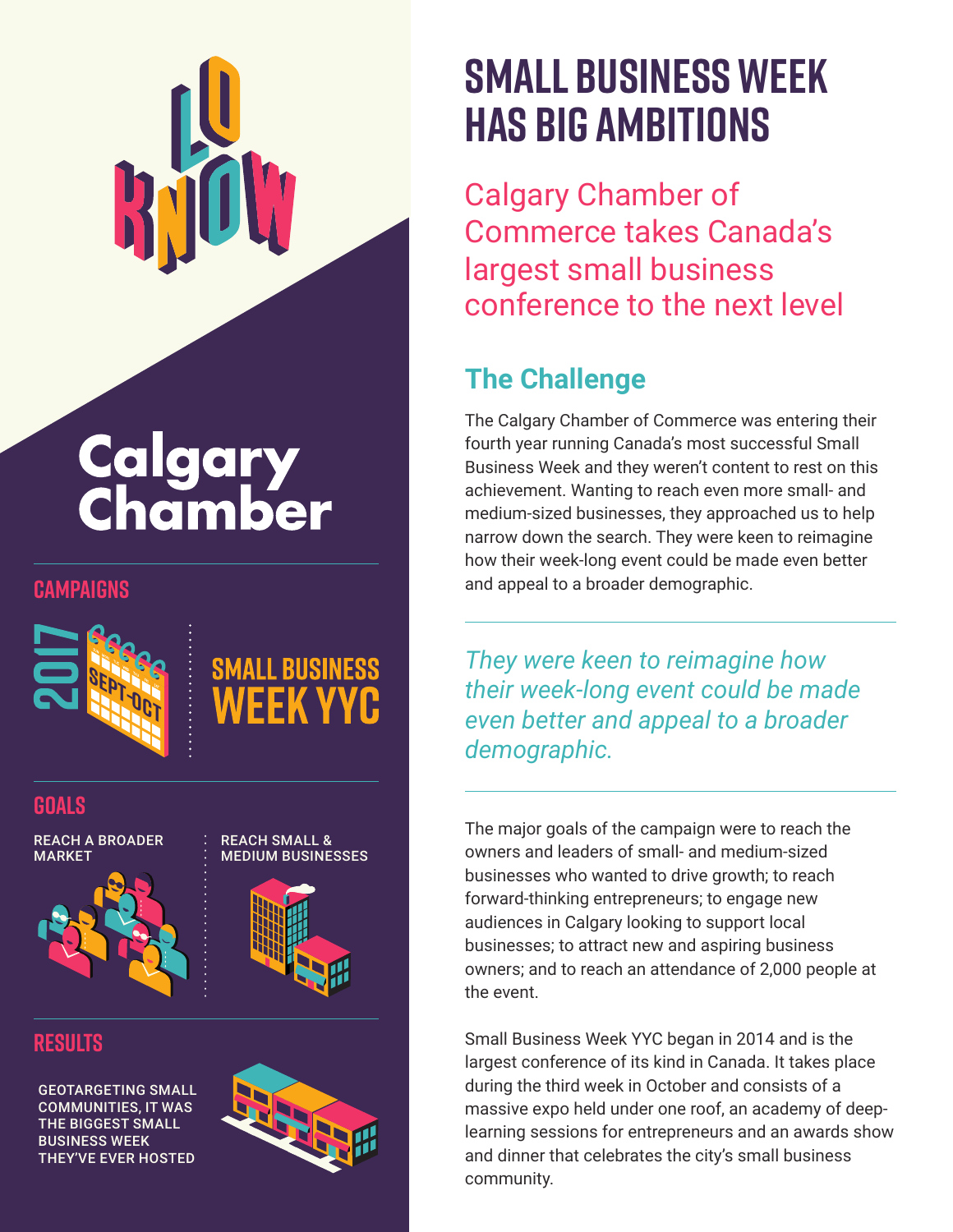

# **Calgary<br>Chamber**



#### **GOALS**

REACH A BROADER **MARKET** 



ALL BIJSINESS

**results**

GEOTARGETING SMALL COMMUNITIES, IT WAS THE BIGGEST SMALL BUSINESS WEEK THEY'VE EVER HOSTED



# **Small Business Week has Big Ambitions**

Calgary Chamber of Commerce takes Canada's largest small business conference to the next level

### **The Challenge**

The Calgary Chamber of Commerce was entering their fourth year running Canada's most successful Small Business Week and they weren't content to rest on this achievement. Wanting to reach even more small- and medium-sized businesses, they approached us to help narrow down the search. They were keen to reimagine how their week-long event could be made even better **CAMPAIGNS CAMPAIGNS cannot be a broader demographic.** 

> *They were keen to reimagine how their week-long event could be made even better and appeal to a broader demographic.*

The major goals of the campaign were to reach the owners and leaders of small- and medium-sized businesses who wanted to drive growth; to reach forward-thinking entrepreneurs; to engage new audiences in Calgary looking to support local businesses; to attract new and aspiring business owners; and to reach an attendance of 2,000 people at the event.

Small Business Week YYC began in 2014 and is the largest conference of its kind in Canada. It takes place during the third week in October and consists of a massive expo held under one roof, an academy of deeplearning sessions for entrepreneurs and an awards show and dinner that celebrates the city's small business community.